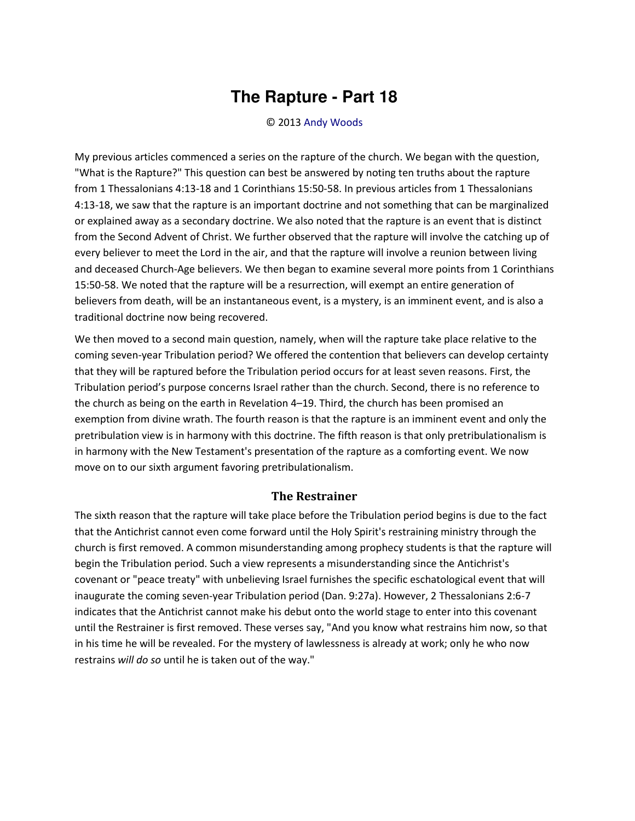## **The Rapture - Part 18**

## © 2013 [Andy Woods](http://www.spiritandtruth.org/id/aw.htm)

My previous articles commenced a series on the rapture of the church. We began with the question, "What is the Rapture?" This question can best be answered by noting ten truths about the rapture from 1 Thessalonians 4:13-18 and 1 Corinthians 15:50-58. In previous articles from 1 Thessalonians 4:13-18, we saw that the rapture is an important doctrine and not something that can be marginalized or explained away as a secondary doctrine. We also noted that the rapture is an event that is distinct from the Second Advent of Christ. We further observed that the rapture will involve the catching up of every believer to meet the Lord in the air, and that the rapture will involve a reunion between living and deceased Church-Age believers. We then began to examine several more points from 1 Corinthians 15:50-58. We noted that the rapture will be a resurrection, will exempt an entire generation of believers from death, will be an instantaneous event, is a mystery, is an imminent event, and is also a traditional doctrine now being recovered.

We then moved to a second main question, namely, when will the rapture take place relative to the coming seven-year Tribulation period? We offered the contention that believers can develop certainty that they will be raptured before the Tribulation period occurs for at least seven reasons. First, the Tribulation period's purpose concerns Israel rather than the church. Second, there is no reference to the church as being on the earth in Revelation 4–19. Third, the church has been promised an exemption from divine wrath. The fourth reason is that the rapture is an imminent event and only the pretribulation view is in harmony with this doctrine. The fifth reason is that only pretribulationalism is in harmony with the New Testament's presentation of the rapture as a comforting event. We now move on to our sixth argument favoring pretribulationalism.

## **The Restrainer**

The sixth reason that the rapture will take place before the Tribulation period begins is due to the fact that the Antichrist cannot even come forward until the Holy Spirit's restraining ministry through the church is first removed. A common misunderstanding among prophecy students is that the rapture will begin the Tribulation period. Such a view represents a misunderstanding since the Antichrist's covenant or "peace treaty" with unbelieving Israel furnishes the specific eschatological event that will inaugurate the coming seven-year Tribulation period (Dan. 9:27a). However, 2 Thessalonians 2:6-7 indicates that the Antichrist cannot make his debut onto the world stage to enter into this covenant until the Restrainer is first removed. These verses say, "And you know what restrains him now, so that in his time he will be revealed. For the mystery of lawlessness is already at work; only he who now restrains *will do so* until he is taken out of the way."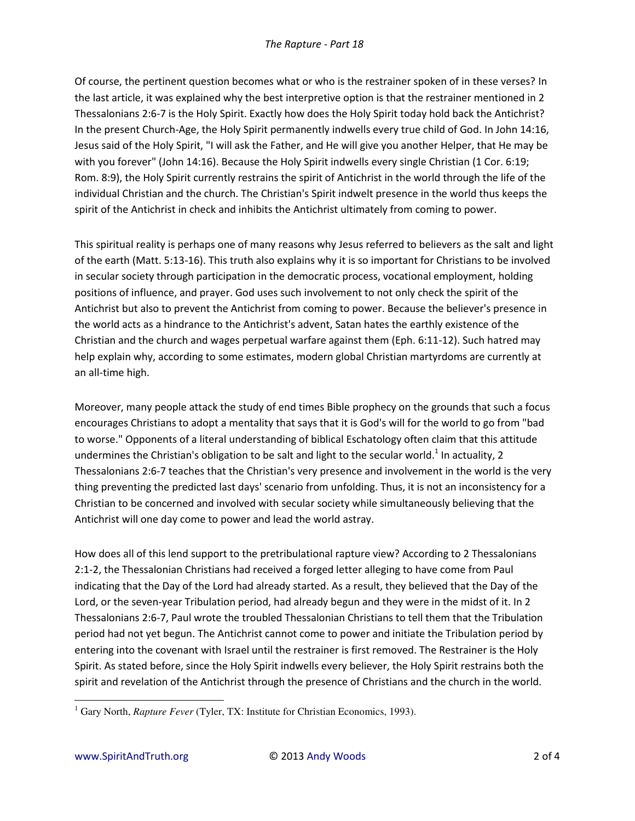Of course, the pertinent question becomes what or who is the restrainer spoken of in these verses? In the last article, it was explained why the best interpretive option is that the restrainer mentioned in 2 Thessalonians 2:6-7 is the Holy Spirit. Exactly how does the Holy Spirit today hold back the Antichrist? In the present Church-Age, the Holy Spirit permanently indwells every true child of God. In John 14:16, Jesus said of the Holy Spirit, "I will ask the Father, and He will give you another Helper, that He may be with you forever" (John 14:16). Because the Holy Spirit indwells every single Christian (1 Cor. 6:19; Rom. 8:9), the Holy Spirit currently restrains the spirit of Antichrist in the world through the life of the individual Christian and the church. The Christian's Spirit indwelt presence in the world thus keeps the spirit of the Antichrist in check and inhibits the Antichrist ultimately from coming to power.

This spiritual reality is perhaps one of many reasons why Jesus referred to believers as the salt and light of the earth (Matt. 5:13-16). This truth also explains why it is so important for Christians to be involved in secular society through participation in the democratic process, vocational employment, holding positions of influence, and prayer. God uses such involvement to not only check the spirit of the Antichrist but also to prevent the Antichrist from coming to power. Because the believer's presence in the world acts as a hindrance to the Antichrist's advent, Satan hates the earthly existence of the Christian and the church and wages perpetual warfare against them (Eph. 6:11-12). Such hatred may help explain why, according to some estimates, modern global Christian martyrdoms are currently at an all-time high.

Moreover, many people attack the study of end times Bible prophecy on the grounds that such a focus encourages Christians to adopt a mentality that says that it is God's will for the world to go from "bad to worse." Opponents of a literal understanding of biblical Eschatology often claim that this attitude undermines the Christian's obligation to be salt and light to the secular world.<sup>1</sup> In actuality, 2 Thessalonians 2:6-7 teaches that the Christian's very presence and involvement in the world is the very thing preventing the predicted last days' scenario from unfolding. Thus, it is not an inconsistency for a Christian to be concerned and involved with secular society while simultaneously believing that the Antichrist will one day come to power and lead the world astray.

How does all of this lend support to the pretribulational rapture view? According to 2 Thessalonians 2:1-2, the Thessalonian Christians had received a forged letter alleging to have come from Paul indicating that the Day of the Lord had already started. As a result, they believed that the Day of the Lord, or the seven-year Tribulation period, had already begun and they were in the midst of it. In 2 Thessalonians 2:6-7, Paul wrote the troubled Thessalonian Christians to tell them that the Tribulation period had not yet begun. The Antichrist cannot come to power and initiate the Tribulation period by entering into the covenant with Israel until the restrainer is first removed. The Restrainer is the Holy Spirit. As stated before, since the Holy Spirit indwells every believer, the Holy Spirit restrains both the spirit and revelation of the Antichrist through the presence of Christians and the church in the world.

 $\overline{a}$ 

<sup>&</sup>lt;sup>1</sup> Gary North, *Rapture Fever* (Tyler, TX: Institute for Christian Economics, 1993).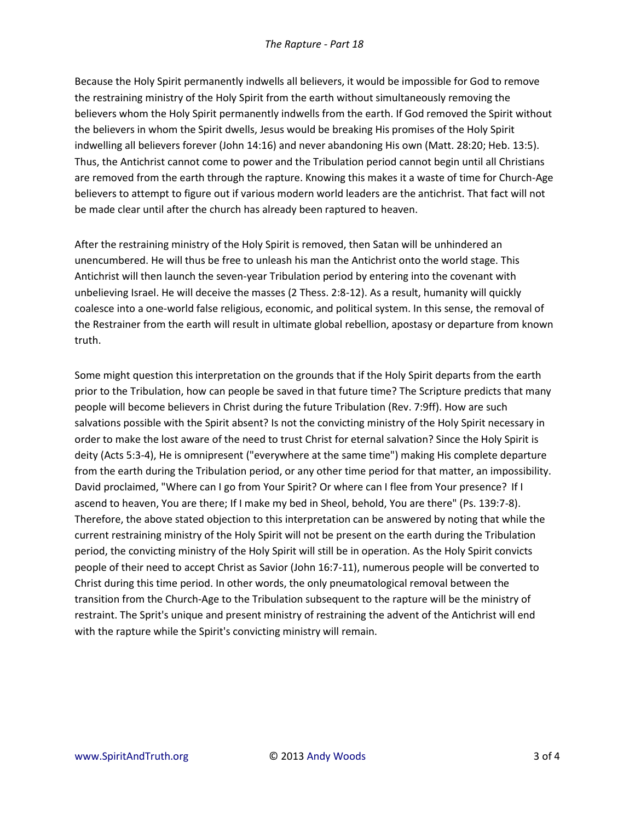Because the Holy Spirit permanently indwells all believers, it would be impossible for God to remove the restraining ministry of the Holy Spirit from the earth without simultaneously removing the believers whom the Holy Spirit permanently indwells from the earth. If God removed the Spirit without the believers in whom the Spirit dwells, Jesus would be breaking His promises of the Holy Spirit indwelling all believers forever (John 14:16) and never abandoning His own (Matt. 28:20; Heb. 13:5). Thus, the Antichrist cannot come to power and the Tribulation period cannot begin until all Christians are removed from the earth through the rapture. Knowing this makes it a waste of time for Church-Age believers to attempt to figure out if various modern world leaders are the antichrist. That fact will not be made clear until after the church has already been raptured to heaven.

After the restraining ministry of the Holy Spirit is removed, then Satan will be unhindered an unencumbered. He will thus be free to unleash his man the Antichrist onto the world stage. This Antichrist will then launch the seven-year Tribulation period by entering into the covenant with unbelieving Israel. He will deceive the masses (2 Thess. 2:8-12). As a result, humanity will quickly coalesce into a one-world false religious, economic, and political system. In this sense, the removal of the Restrainer from the earth will result in ultimate global rebellion, apostasy or departure from known truth.

Some might question this interpretation on the grounds that if the Holy Spirit departs from the earth prior to the Tribulation, how can people be saved in that future time? The Scripture predicts that many people will become believers in Christ during the future Tribulation (Rev. 7:9ff). How are such salvations possible with the Spirit absent? Is not the convicting ministry of the Holy Spirit necessary in order to make the lost aware of the need to trust Christ for eternal salvation? Since the Holy Spirit is deity (Acts 5:3-4), He is omnipresent ("everywhere at the same time") making His complete departure from the earth during the Tribulation period, or any other time period for that matter, an impossibility. David proclaimed, "Where can I go from Your Spirit? Or where can I flee from Your presence? If I ascend to heaven, You are there; If I make my bed in Sheol, behold, You are there" (Ps. 139:7-8). Therefore, the above stated objection to this interpretation can be answered by noting that while the current restraining ministry of the Holy Spirit will not be present on the earth during the Tribulation period, the convicting ministry of the Holy Spirit will still be in operation. As the Holy Spirit convicts people of their need to accept Christ as Savior (John 16:7-11), numerous people will be converted to Christ during this time period. In other words, the only pneumatological removal between the transition from the Church-Age to the Tribulation subsequent to the rapture will be the ministry of restraint. The Sprit's unique and present ministry of restraining the advent of the Antichrist will end with the rapture while the Spirit's convicting ministry will remain.